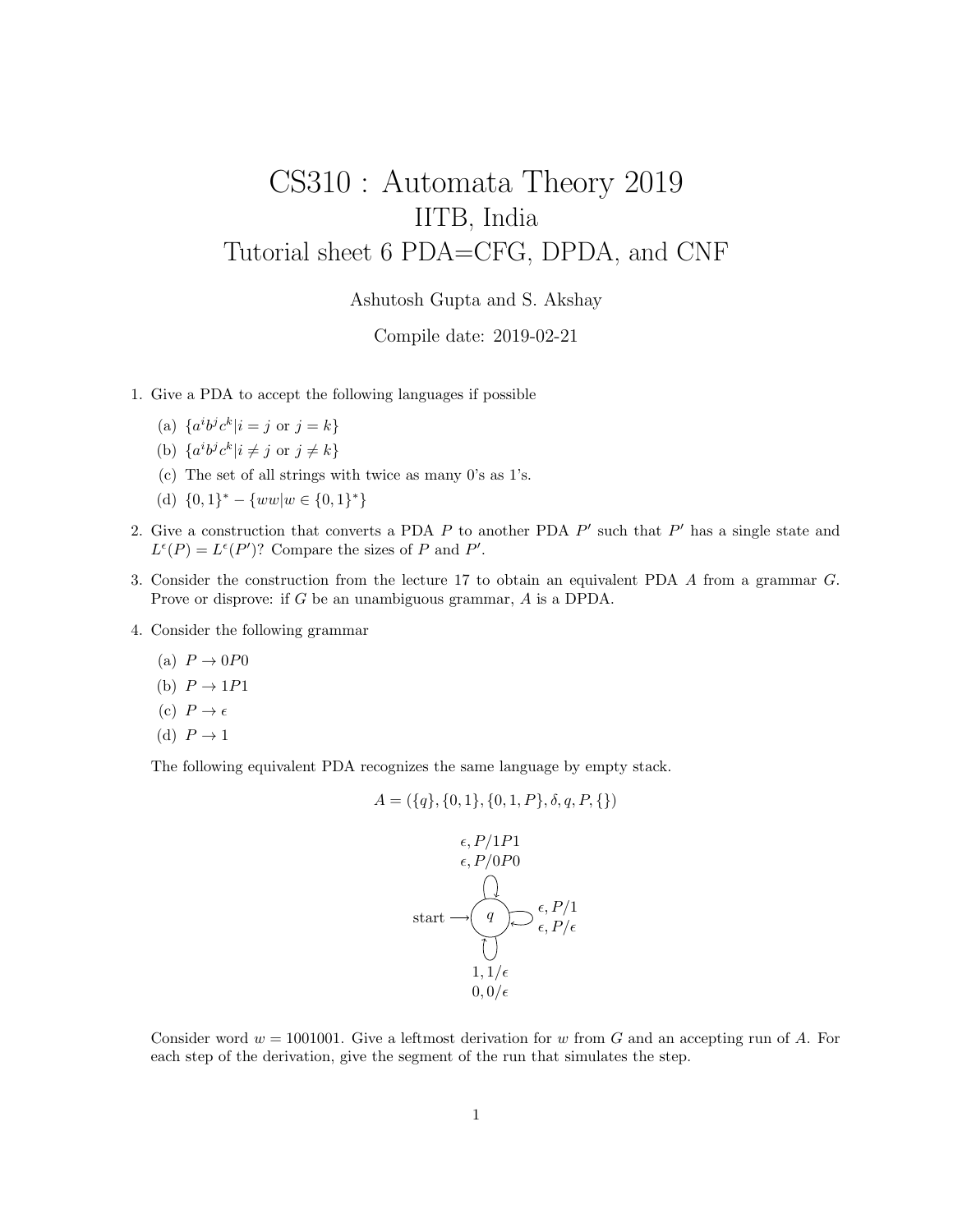## CS310 : Automata Theory 2019 IITB, India Tutorial sheet 6 PDA=CFG, DPDA, and CNF

Ashutosh Gupta and S. Akshay

Compile date: 2019-02-21

- 1. Give a PDA to accept the following languages if possible
	- (a)  $\{a^i b^j c^k | i = j \text{ or } j = k\}$
	- (b)  $\{a^ib^jc^k|i \neq j \text{ or } j \neq k\}$
	- (c) The set of all strings with twice as many 0's as 1's.
	- (d)  $\{0,1\}^* \{ww|w \in \{0,1\}^*\}$
- 2. Give a construction that converts a PDA  $P$  to another PDA  $P'$  such that  $P'$  has a single state and  $L^{\epsilon}(P) = L^{\epsilon}(P')$ ? Compare the sizes of P and P'.
- 3. Consider the construction from the lecture 17 to obtain an equivalent PDA A from a grammar G. Prove or disprove: if G be an unambiguous grammar, A is a DPDA.
- 4. Consider the following grammar
	- (a)  $P \rightarrow 0P0$
	- (b)  $P \rightarrow 1P1$
	- (c)  $P \to \epsilon$
	- (d)  $P \rightarrow 1$

The following equivalent PDA recognizes the same language by empty stack.

$$
A = (\{q\}, \{0, 1\}, \{0, 1, P\}, \delta, q, P, \{\})
$$

start q , P/0P0 , P/1P1 , P/ , P/1 1, 1/ 0, 0/

Consider word  $w = 1001001$ . Give a leftmost derivation for w from G and an accepting run of A. For each step of the derivation, give the segment of the run that simulates the step.